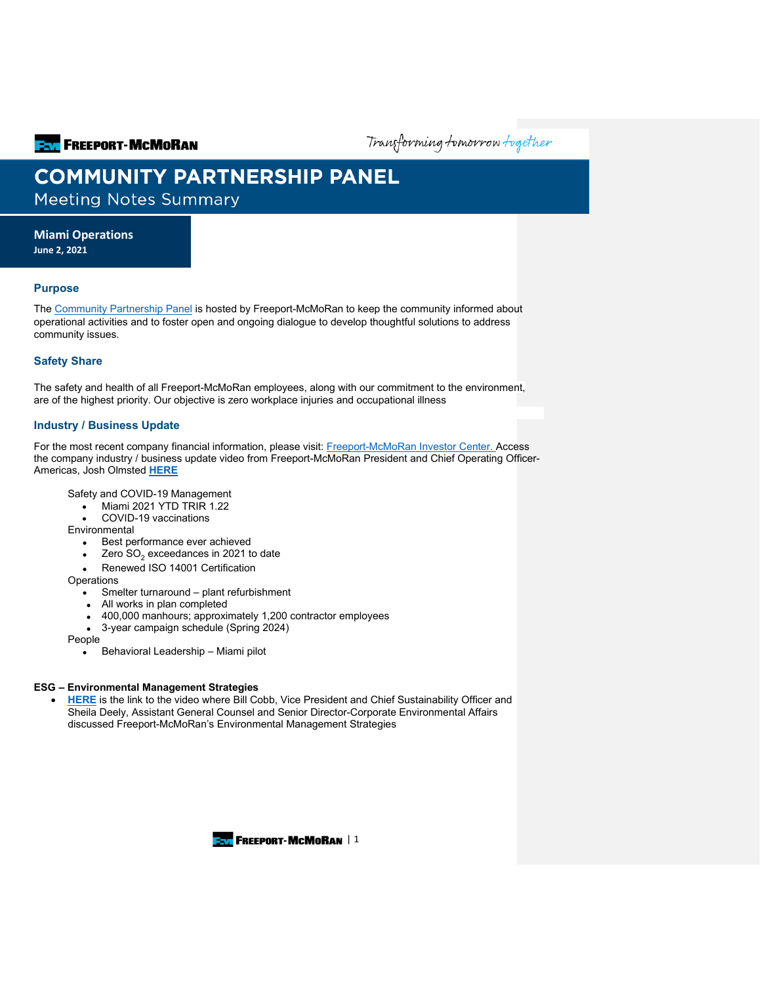**ENTITLE FREEPORT-MCMORAN** 

Transforming tomorrow together

# **COMMUNITY PARTNERSHIP PANEL**

**Meeting Notes Summary** 

**Miami Operations**

**June 2, 2021**

# **Purpose**

The [Community Partnership Panel](https://www.freeportinmycommunity.com/stakeholders/stakeholder-engagement-) is hosted by Freeport-McMoRan to keep the community informed about operational activities and to foster open and ongoing dialogue to develop thoughtful solutions to address community issues.

# **Safety Share**

The safety and health of all Freeport-McMoRan employees, along with our commitment to the environment, are of the highest priority. Our objective is zero workplace injuries and occupational illness

## **Industry / Business Update**

For the most recent company financial information, please visit: [Freeport-McMoRan Investor Center.](http://investors.fcx.com/investors/default.aspx) Access the company industry / business update video from Freeport-McMoRan President and Chief Operating Officer-Americas, Josh Olmsted **[HERE](https://fmi.hosted.panopto.com/Panopto/Pages/Viewer.aspx?id=98ba0c0f-74d3-474e-890b-ad21015cdb21)**

Safety and COVID-19 Management

- Miami 2021 YTD TRIR 1.22
- COVID-19 vaccinations
- Environmental
	- Best performance ever achieved
	- Zero  $SO<sub>2</sub>$  exceedances in 2021 to date
	- Renewed ISO 14001 Certification

**Operations** 

- Smelter turnaround plant refurbishment
- All works in plan completed
- 400,000 manhours; approximately 1,200 contractor employees
- 3-year campaign schedule (Spring 2024)

People

• Behavioral Leadership – Miami pilot

## **ESG – Environmental Management Strategies**

**[HERE](https://fmi.hosted.panopto.com/Panopto/Pages/Viewer.aspx?id=227f9052-6e5f-4d83-ae6e-ad25012c5b4f)** is the link to the video where Bill Cobb, Vice President and Chief Sustainability Officer and Sheila Deely, Assistant General Counsel and Senior Director-Corporate Environmental Affairs discussed Freeport-McMoRan's Environmental Management Strategies

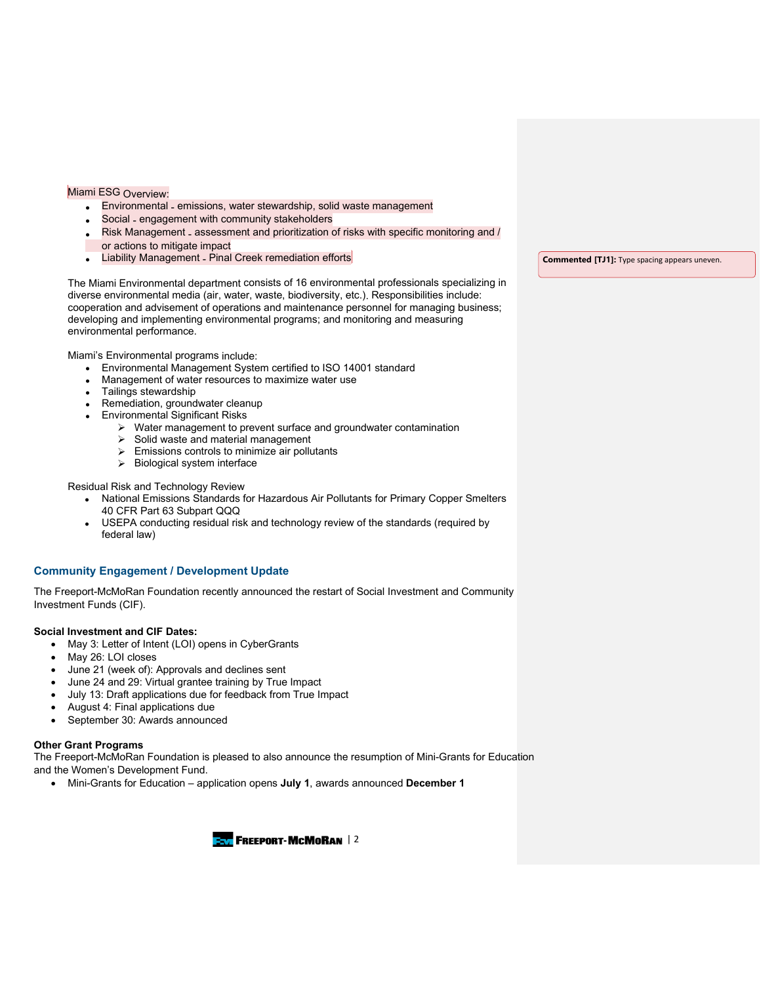# Miami ESG Overview:

- Environmental emissions, water stewardship, solid waste management
- Social engagement with community stakeholders
- Risk Management assessment and prioritization of risks with specific monitoring and / or actions to mitigate impact
- **Liability Management Pinal Creek remediation efforts**

The Miami Environmental department consists of 16 environmental professionals specializing in diverse environmental media (air, water, waste, biodiversity, etc.). Responsibilities include: cooperation and advisement of operations and maintenance personnel for managing business; developing and implementing environmental programs; and monitoring and measuring environmental performance.

Miami's Environmental programs include:

- Environmental Management System certified to ISO 14001 standard
- Management of water resources to maximize water use
- Tailings stewardship
- Remediation, groundwater cleanup
- Environmental Significant Risks
	- $\triangleright$  Water management to prevent surface and groundwater contamination
	- $\triangleright$  Solid waste and material management
	- $\triangleright$  Emissions controls to minimize air pollutants
	- $\triangleright$  Biological system interface

#### Residual Risk and Technology Review

- National Emissions Standards for Hazardous Air Pollutants for Primary Copper Smelters 40 CFR Part 63 Subpart QQQ
- USEPA conducting residual risk and technology review of the standards (required by federal law)

#### **Community Engagement / Development Update**

The Freeport-McMoRan Foundation recently announced the restart of Social Investment and Community Investment Funds (CIF).

#### **Social Investment and CIF Dates:**

- May 3: Letter of Intent (LOI) opens in CyberGrants
- May 26: LOI closes
- June 21 (week of): Approvals and declines sent
- June 24 and 29: Virtual grantee training by True Impact
- July 13: Draft applications due for feedback from True Impact
- August 4: Final applications due
- September 30: Awards announced

#### **Other Grant Programs**

The Freeport-McMoRan Foundation is pleased to also announce the resumption of Mini-Grants for Education and the Women's Development Fund.

• Mini-Grants for Education – application opens **July 1**, awards announced **December 1**



**Commented [TJ1]:** Type spacing appears uneven.